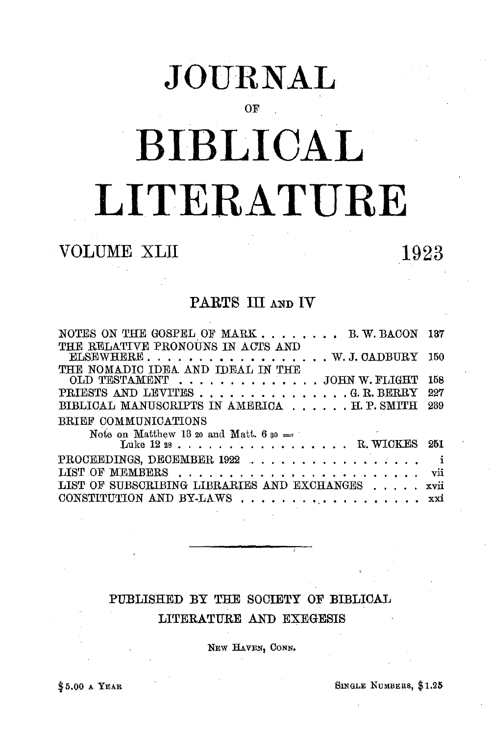## **JOURNAL**

OF

# **BIBLICAL LITERATURE**

### VOLUME XLII 1923

#### PARTS III AND IV

| NOTES ON THE GOSPEL OF MARK B.W. BACON<br>THE RELATIVE PRONOUNS IN ACTS AND                                                                                                                                                                                                                                                              | 187  |
|------------------------------------------------------------------------------------------------------------------------------------------------------------------------------------------------------------------------------------------------------------------------------------------------------------------------------------------|------|
| $\text{ELSEWHERE}$ . W. J. CADBURY                                                                                                                                                                                                                                                                                                       | -150 |
| THE NOMADIC IDEA AND IDEAL IN THE<br>OLD TESTAMENT JOHN W. FLIGHT                                                                                                                                                                                                                                                                        | 158  |
| PRIESTS AND LEVITES G. R. BERRY                                                                                                                                                                                                                                                                                                          | 227  |
| BIBLICAL MANUSCRIPTS IN AMERICA H. P. SMITH                                                                                                                                                                                                                                                                                              | 239  |
| BRIEF COMMUNICATIONS                                                                                                                                                                                                                                                                                                                     |      |
| Note on Matthew 13 20 and Matt. 6 $_{50}$ =<br>the control of the control of the con-                                                                                                                                                                                                                                                    |      |
| Luke $1228$ . $\ldots$ $\ldots$ $\ldots$ $\ldots$ $\ldots$ $\ldots$ $\ldots$ $\ldots$ $\ldots$ $\ldots$ $\ldots$ $\ldots$ $\ldots$ $\ldots$ $\ldots$ $\ldots$ $\ldots$ $\ldots$ $\ldots$ $\ldots$ $\ldots$ $\ldots$ $\ldots$ $\ldots$ $\ldots$ $\ldots$ $\ldots$ $\ldots$ $\ldots$ $\ldots$ $\ldots$ $\ldots$ $\ldots$ $\ldots$ $\ldots$ | 251  |
| PROCEEDINGS, DECEMBER 1922                                                                                                                                                                                                                                                                                                               | -i   |
|                                                                                                                                                                                                                                                                                                                                          | vii  |
| LIST OF SUBSCRIBING LIBRARIES AND EXCHANGES                                                                                                                                                                                                                                                                                              | xvii |
| CONSTITUTION AND BY-LAWS                                                                                                                                                                                                                                                                                                                 | xxi  |
|                                                                                                                                                                                                                                                                                                                                          |      |

#### PUBLISHED BY THE SOCIETY OF BIBLICAL LITERATURE AND EXEGESIS

NEW HAVEN, CONN.

\$5.00 A YEAR SINGLE NUMBERS, \$1.25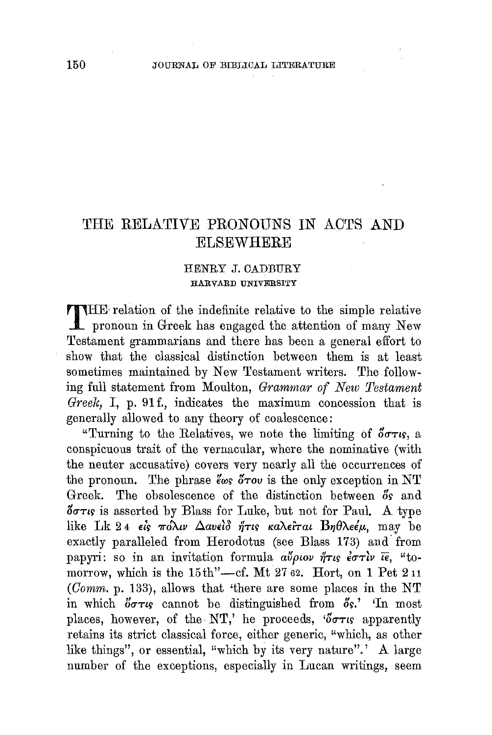#### THE RELATIVE PRONOUNS IN ACTS AND **ELSEWHERE**

#### HENRY J. CADBURY HARVARD UNIVERSITY

THE- relation of the indefinite relative to the simple relative pronoun in Greek has engaged the attention of many New Testament grammarians and there has been a general effort to show that the classical distinction between them is at least sometimes maintained by New Testament writers. The following full statement from Moulton, *Grammar of New Testament Greek*, I, p. 91f., indicates the maximum concession that is generally allowed to any theory of coalescence:

"Turning to the Relatives, we note the limiting of  $\delta \sigma \tau_i s$ , a conspicuous trait of the vernacular, where the nominative (with the neuter accusative) covers very nearly all the occurrences of the pronoun. The phrase  $\epsilon_{\omega s}$   $\delta \tau_{\omega}$  is the only exception in NT Greek. The obsolescence of the distinction between  $\delta s$  and  $\delta$ <sup> $\sigma$ </sup>r<sub>is</sub> is asserted by Blass for Luke, but not for Paul. A type like Lk 24 *είς πόλιν Δανείδ ήτις καλείται Βηθλεέμ*, may be exactly paralleled from Herodotus (see Blass 173) and- from papyri: so in an invitation formula  $a\tilde{\psi}\rho\iota o\nu\tilde{\eta}\tau\iota s\tilde{\epsilon}\sigma\tau\tilde{\iota}\nu\tilde{\iota}\tilde{\epsilon}$ , "tomorrow, which is the  $15th$ "--cf. Mt 27 62. Hort, on 1 Pet 211 (Comm. p. 133), allows that 'there are some places in the NT in which  $\delta \sigma \tau \nu s$  cannot be distinguished from  $\delta s$ .' In most places, however, of the NT,' he proceeds,  $3\sigma\tau$ <sub>is</sub> apparently retains its strict classical force, either generic, "which, as other like things", or essential, "which by its very nature".' A large number of the exceptions, especially in Lucan writings, seem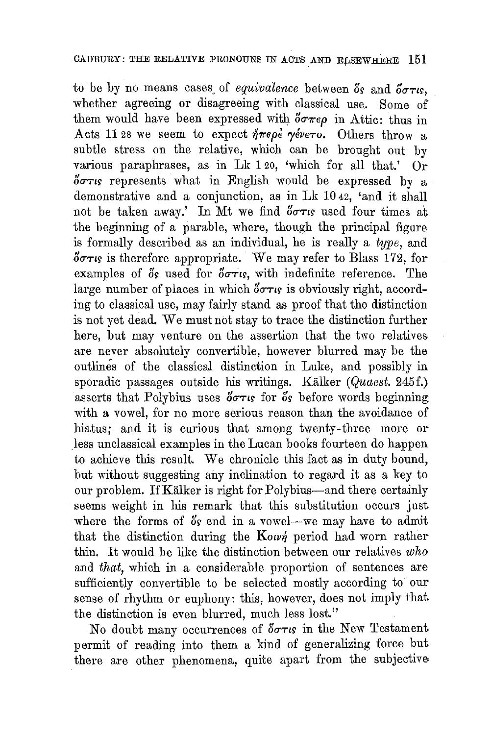to be by no means cases of *equivalence* between  $\delta$ s and  $\delta \sigma \tau$ *is*, whether agreeing or disagreeing with classical use. Some of them would have been expressed with  $\delta \sigma \pi \epsilon \rho$  in Attic: thus in Acts 11 28 we seem to expect  $\eta \pi \epsilon \rho \epsilon$   $\gamma \epsilon \nu \epsilon \tau o$ . Others throw a subtle stress on the relative, which can be brought out by various paraphrases, as in Lk 1 20, 'which for all that.' Or  $\delta \sigma \tau$  represents what in English would be expressed by a demonstrative and a conjunction, as in Lk 10 42, 'and it shall not be taken away.' In Mt we find  $5\sigma\tau$  used four times at the beginning of a parable, where, though the principal figure is formally described as an individual, he is really a *type,* and  $\delta\sigma\tau\iota\mathfrak{s}$  is therefore appropriate. We may refer to Blass 172, for examples of  $\delta$ s used for  $\delta \sigma \tau$ is, with indefinite reference. The large number of places in which  $\delta \sigma \tau_{\text{IS}}$  is obviously right, according to classical use, may fairly stand as proof that the distinction is not yet dead. We must not stay to trace the distinction further here, but may venture on the assertion that the two relatives are never absolutely convertible, however blurred may be the outlines of the classical distinction in Luke, and possibly in sporadic passages outside his writings. Kalker *(Quaest.* 245f.) asserts that Polybius uses  $\delta\sigma\tau$  is for  $\delta s$  before words beginning with a vowel, for no more serious reason than the avoidance of hiatus; and it is curious that among twenty-three more or less unclassical examples in the Lucan books fourteen do happen to achieve this result. We chronicle this fact as in duty bound, but without suggesting any inclination to regard it as a key to our problem. IfKalker is right for Polybius-and there certainly seems weight in his remark that this substitution occurs just where the forms of  $\delta s$  end in a vowel-we may have to admit that the distinction during the Kown period had worn rather thin. It would be like the distinction between our relatives *who*  and *that,* which in a considerable proportion of sentences are sufficiently convertible to be selected mostly according to our sense of rhythm or euphony: this, however, does not imply that the distinction is even blurred, much less lost."

No doubt many occurrences of  $\delta \sigma \tau \kappa$  in the New Testament permit of reading into them a kind of generalizing force but there are other phenomena, quite apart from the subjective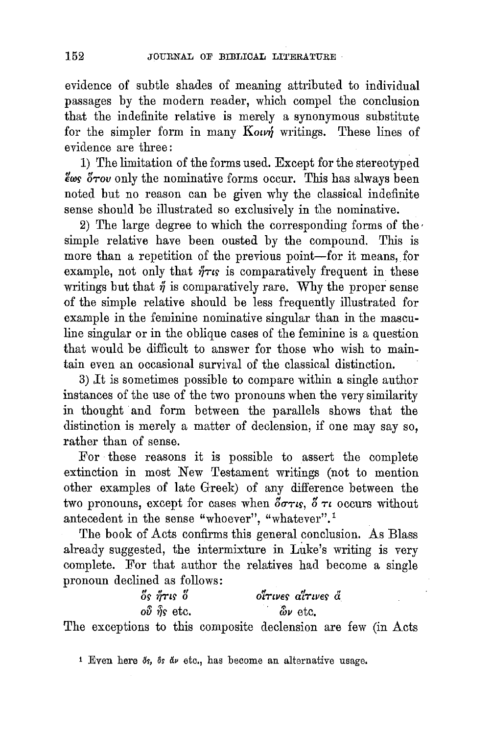evidence of subtle shades of meaning attributed to individual passages by the modern reader, which compel the conclusion that the indefinite relative is merely a synonymous substitute for the simpler form in many *Kown* writings. These lines of evidence are three :

1) The limitation of the forms used. Except for the stereotyped  $\epsilon$ we  $\delta$ rov only the nominative forms occur. This has always been noted but no reason can be given why the classical indefinite sense should be illustrated so exclusively in the nominative.

2) The large degree to which the corresponding forms of the simple relative have been ousted by the compound. This is more than a repetition of the previous point-for it means, for example, not only that  $\eta \tau$  is comparatively frequent in these writings but that  $\eta$  is comparatively rare. Why the proper sense of the simple relative should be less frequently illustrated for example in the feminine nominative singular than in the masculine singular or in the oblique cases of the feminine is a question that would be difficult to answer for those who wish to maintain even an occasional survival of the classical distinction.

3) ,It is sometimes possible to compare within a single author instances of the use of the two pronouns when the very similarity in thought and form between the parallels shows that the distinction is merely a matter of declension, if one may say so, rather than of sense.

For ·these reasons it is possible to assert the complete extinction in most New Testament writings (not to mention other examples of late Greek) of any difference between the two pronouns, except for cases when  $\delta \sigma \tau_i$ ,  $\delta \tau_i$  occurs without antecedent in the sense "whoever", "whatever".<sup>1</sup>

The book of Acts confirms this general conclusion. As Blass already suggested, the intermixture in Luke's writing is very complete. For that author the relatives had become a single pronoun declined as follows:

 $\delta$ *s*  $\eta$ <sup>*trus*  $\delta$ </sup> OS' *'Y}TtS'* 0 *t!* ,, tl *OtTtVES' atTtVES' a*   $\hat{\omega}$   $\hat{\delta}$  **y** etc.  $\hat{\omega}$  **v** etc.

The exceptions to this composite declension are few (in Acts

<sup>1</sup> Even here  $\delta s$ ,  $\delta s$   $\delta \nu$  etc., has become an alternative usage.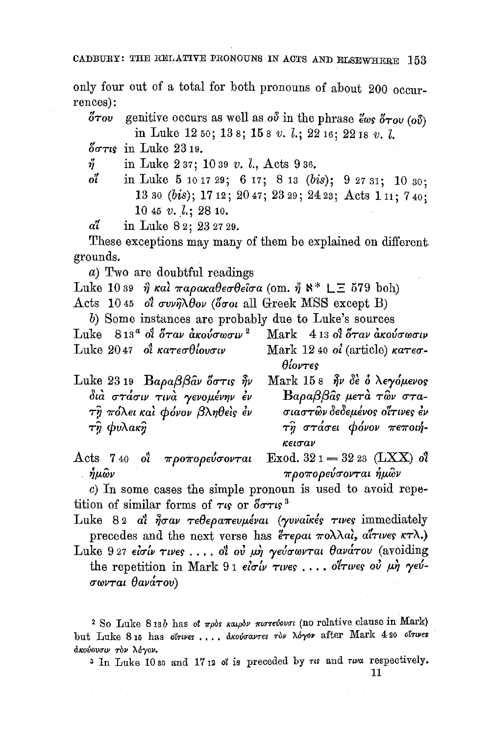CADBURY: THE RELATIVE PRONOUNS IN AOTS AND ELSEWHERE 153

only four out of a total for both pronouns of about 200 occurrences):

 $\delta \tau$ ov genitive occurs as well as ov in the phrase  $\partial \sigma$   $\delta \tau$ ov (ov) in Luke 12 5o; 13 8j 15 8 *v.* l.; 2216; 2218 *v.* l.

 $\delta\sigma\tau$ <sub>cs</sub> in Luke 23 19.

*i* in Luke 2 37; 10 39 *v. l.*, Acts 9 36.<br>*o*<sup>7</sup> in Luke 5 10 17 29: 6 17: 8 13 *(b*)

in Luke 5 10 17 29; 6 17; 8 13 (bis); 9 27 31; 10 30; 13 so (bis); 17 12; 20 47; 23 29; 24 23; Acts 1 11; 7 40: 10 45 *v. l.*; 28 10.

*a1* **in Luke 8 2; 23 27 29.** 

These exceptions may many of them be explained on different grounds.

a) Two are doubtful readings

Luke 10 39  $\hat{\eta}$  και παρακαθεσθείσα (om.  $\hat{\eta}$   $\aleph^*$  LE 579 boh)

Acts 10.45 of  $\sigma v\gamma\lambda\theta o\nu$  (of  $\sigma o\iota$  all Greek MSS except B)

b) Some instances are probably due to Luke's sources

- Luke  $813^a$  of  $\overset{\circ}{\sigma}$ rav  $\overset{\circ}{a}$ *kov* $\sigma \omega \sigma u v^2$  Mark  $413$  of  $\overset{\circ}{\sigma}$ rav  $\overset{\circ}{a}$ *kov* $\sigma \omega \sigma u v$ Luke 2047 of  $\kappa a \tau \epsilon \sigma \theta$ lovou Mark 12 40 oi (article)  $\kappa a \tau \epsilon \sigma$ - $\theta$ *lovtes*
- Luke 23 19  $\text{Ba}\rho\alpha\beta\beta\hat{\alpha}v$  over  $\hat{\eta}v$  $\delta$ ιά στάσιν τινά γενομένην έν  $\tau$ η πόλει και φόνον βληθεις εν  $\tau\hat{y}$   $\phi$ υλακ $\hat{y}$
- Mark 15 8  $\hat{\eta}$ ν δε ο λεγόμενος  $B$ a $\rho$ a $\beta$  $\beta$ âs  $\mu$ e $\tau$ à  $\tau$ ŵ σ $\tau$ aσιαστῶν δεδεμένος οἴτινες ἐν  $\tau \hat{\eta}$  στάσει φόνον πεποιήκεισαν
- Acts 7 40 o<sup>3</sup> προπορεύσονται Exod. 32 1 = 32 23 (LXX) o<sup>3</sup><br>ημών *προπορεύσονται ήμών*

c) In some cases the simple pronoun is used to avoid repetition of similar forms of  $\tau$  or  $\delta \sigma \tau$  is 3

Luke 82 at  $\hat{\eta} \sigma \omega$   $\tau \epsilon \theta \epsilon \rho a \pi \epsilon \nu \mu \epsilon \nu a \iota$  (yvvaints  $\tau \nu \epsilon \epsilon$  immediately precedes and the next verse has  $\epsilon \tau \epsilon \rho \alpha \iota \pi \delta \lambda \alpha \iota$ ,  $\alpha \iota \tau \iota \nu \epsilon \varsigma \kappa \tau \lambda$ .)

Luke 927 eίσίν τινες .... οι ού μη γεύσωνται θανάτου (avoiding the repetition in Mark 91 eloty rives . . . . oltwes ou un veuσωνται θανάτου)

<sup>2</sup> So Luke 8 13b has ot  $\pi \rho$ ds  $\kappa a \mu \rho b \nu$   $\pi \nu \sigma \tau e^{\gamma b \nu}$  (no relative clause in Mark) but Luke 8 15 has olrwes .... dkovoavres rov Moyov after Mark 4 20 olrwes άκούουσιν τον λόγον.

<sup>3</sup> In Luke 10 so and 17 12 of is preceded by  $\tau$  and  $\tau\omega$  a respectively.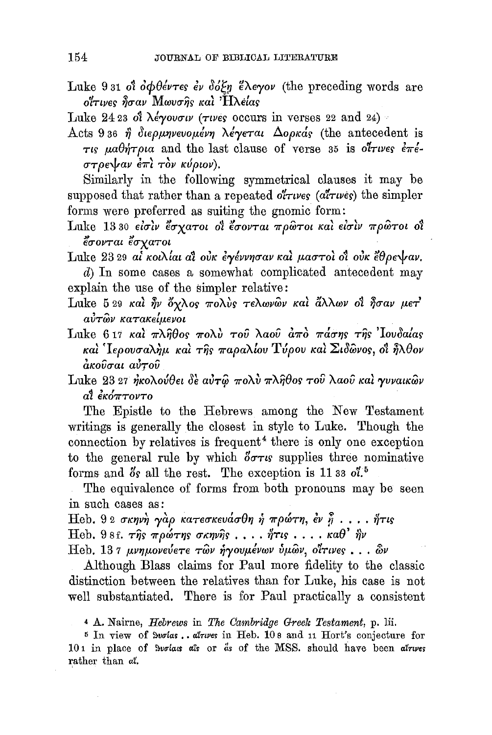Luke 9 31 of  $\partial \phi \partial \phi$  over  $\partial \phi$   $\partial \phi$   $\partial \phi$   $\partial \phi$   $\partial \phi$  (the preceding words are oίτινες ησαν Μωυσης και 'Ηλέίας

Luke 24 23 of  $\lambda$ eyovow ( $\tau$ ives occurs in verses 22 and 24)

Acts 936 η διερμηνευομένη λέγεται Δορκάς (the antecedent is  $\tau$ ts  $\mu a \theta \eta \tau \rho a$  and the last clause of verse 35 is otrwes  $\epsilon \pi \epsilon$ - $\sigma$ *T* $\rho$ <sub>E</sub> $\downarrow$ *av*  $\epsilon \pi i$   $\tau \delta \nu$   $\kappa \nu (\rho \nu \omega)$ .

Similarly in the following symmetrical clauses it may be supposed that rather than a repeated o $\tilde{i}$ *rwes* ( $\alpha$ <sup>*i*</sup>*rwes*) the simpler forms were preferred as suiting the gnomic form:

orms were preferred as sulting the ghomic form.<br>Inke 1330 είσιν έσχατοι οι έσονται πρώτοι και είσιν πρώτοι οι έσονται έσχατοι

Luke 23 29 at  $\kappa o \lambda$ ίαι αί ούκ εγέννησαν και μαστοι οι ούκ έθρε $\sqrt{a}$ ν.

d) In some cases a somewhat complicated antecedent may explain the use of the simpler relative:

- Luke 5 29  $\kappa a$ i  $\hat{\eta}$ ν όχλος πολύς τελωνών και άλλων οι ήσαν μετ  $a\dot{v}\tau\hat{\omega}\nu$  κατακείμενοι
- Luke 6 17  $\kappa a$ i  $\pi \lambda \hat{\eta} \theta$ os  $\pi o \lambda v$   $\tau o \hat{v}$   $\lambda a o \hat{v}$   $\hat{a} \pi \hat{o}$   $\pi a \sigma \eta s$   $\tau \hat{\eta} s$  'Iovoalas και ' Ιερουσαλήμ και της παραλίου Τύρου και Σιδῶνος, οι ηλθον<br>ακοῦσαι αὐτοῦ

Luke 23 27 ήκολούθει δε αύτω πολύ πληθος του λαού και γυναικών a1 eK<f7rTOVTO

The Epistle to the Hebrews among the New Testament writings is generally the closest in style to Luke. Though the connection by relatives is frequent<sup>4</sup> there is only one exception to the general rule by which  $\delta \sigma \tau s$  supplies three nominative forms and  $\delta s$  all the rest. The exception is 11 33 ol.<sup>5</sup>

The equivalence of forms from both pronouns may be seen in such cases as:

 $\text{Heb. } 9$  2 σκηνή γάρ κατεσκευάσθη ή πρώτη, έν ή . . . . ήτις Heb. 9 8 f.  $\tau \hat{\eta}$ s  $\pi \rho \omega \tau \eta$ s  $\sigma \kappa \eta \nu \hat{\eta}$ s . . .  $\eta \tau \iota$ s . . . .  $\kappa a \theta'$   $\hat{\eta} \nu$ 

Heb. 137 μνημονεύετε των ήγουμένων ύμων, οίτινες ... ων

Although Blass claims for Paul more fidelity to the classic distinction between the relatives than for Luke, his case is not well substantiated. There is for Paul practically a consistent

4 A. Nairne, *Hebrews* in *The Cambridge Greek Testament,* p. Iii.

 $5$  In view of Surias.. alrues in Heb. 108 and 11 Hort's conjecture for 101 in place of Svolas als or as of the MSS. should have been atrues rather than *at.*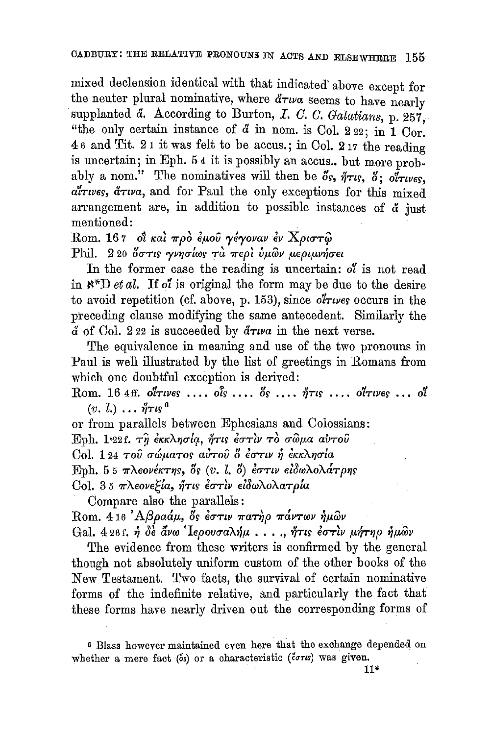mixed declension identical with that indicated' above except for the neuter plural nominative, where  $d\tau w a$  seems to have nearly supplanted  $\tilde{d}$ . According to Burton, *I. C. C. Galatians*, p. 257. "the only certain instance of  $\ddot{a}$  in nom. is Col. 222; in 1 Cor. 4 6 and Tit. 2 1 it was felt to be accus. ; in Col. 2 17 the reading is uncertain; in Eph. 54 it is possibly an accus.. but more probably a nom." The nominatives will then be  $\delta s$ ,  $\eta \tau s$ ,  $\delta$ ;  $\sigma \tau \nu s$ .  $a\bar{t}$ *rwes*,  $\bar{a}\tau w$ *a*, and for Paul the only exceptions for this mixed arrangement are, in addition to possible instances of  $\ddot{a}$  just mentioned:

Rom. 167 οι και προ έμου γέγοναν εν Χριστώ Phil. 220 δστις γνησίως τα περι ύμων μεριμνήσει

In the former case the reading is uncertain: *o1* is not read in  $\aleph^*D$  *et al.* If *ot* is original the form may be due to the desire to avoid repetition (cf. above, p. 153), since  $\partial^2 \tau \nu$ es occurs in the preceding clause modifying the same antecedent. Similarly the & of Col. 2 22 is succeeded by *&Ttva* in the next verse.

The equivalence in meaning and use of the two pronouns in Paul is well illustrated by the list of greetings in Romans from which one doubtful exception is derived:

Rom. 16  $4$ ff. ottwes .... ois ....  $\delta s$  ....  $\eta$ <sup>Tts</sup> .... ottwes ... ot  $(v, l.) \ldots \eta \tau \iota_{S}$ <sup>6</sup>

or from parallels between Ephesians and Colossians:

Eph, 1<sup>821</sup>, τη έκκλησία, ήτις έστιν το σώμα αυτού

Col. 124 *του σώματος αυτου δ έστιν ή έκκλησία* 

Eph. 55  $\pi\lambda$ *60v<sup>6</sup>kTns*,  $\delta$ s  $(v, l, \delta)$   $\delta\sigma\tau\nu\epsilon\delta\omega\lambda$ o $\lambda$ *a* $\tau\rho\eta s$ 

Col. 35 πλεονε*ξία*, ήτις έστιν ειδωλολατρία

Compare also the parallels:

Rom. 416 'Αβραάμ, *δς έστιν πατήρ πάντων ήμ*ων

Gal. 4 26 f. *ή δε άνω* 'Ιερουσαλήμ..., ήτις εστιν μήτηρ ήμων

The evidence from these writers is confirmed by the general though not absolutely uniform custom of the other books of the New Testament. Two facts, the survival of certain nominative forms of the indefinite relative, and particularly the fact that these forms have nearly driven out the corresponding forms of

<sup>6</sup> Blass however maintained even here that the exchange depended on whether a mere fact ( $\delta s$ ) or a characteristic ( $\delta \sigma \tau s$ ) was given.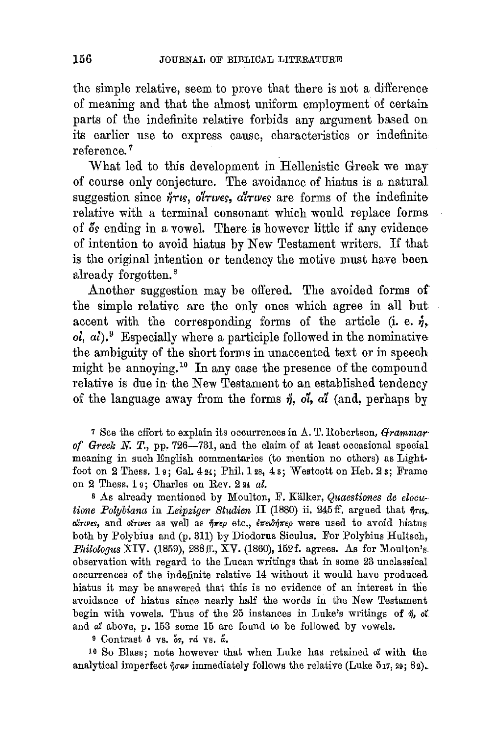the simple relative, seem to prove that there is not a difference of meaning and that the almost uniform employment of certain parts of the indefinite relative forbids any argument based on its earlier use to express cause, characteristics or indefinite reference. 7

What led to this development in Hellenistic Greek we may of course only conjecture. The avoidance of hiatus is a natural suggestion since  $\eta$ <sup>T</sup>rs, ot *Tures*,  $\alpha$ <sup>T</sup>*Tures* are forms of the indefinite relative with a terminal consonant which would replace forms of  $\delta s$  ending in a vowel. There is however little if any evidence of intention to avoid hiatus by New Testament writers. If that is the original intention or tendency the motive must have been already forgotten. 8

Another suggestion may be offered. The avoided forms of the simple relative are the only ones which agree in all but. accent with the corresponding forms of the article (i. e.  $\eta$ ,  $o_i$ ,  $a_i$ ).<sup>9</sup> Especially where a participle followed in the nominative the ambiguity of the short forms in unaccented text or in speech might be annoying.<sup>10</sup> In any case the presence of the compound relative is due in the New Testament to an established tendency of the language away from the forms  $\eta$ ,  $\delta l$ ,  $\alpha l$  (and, perhaps by

<sup>7</sup> See the effort to explain its occurrences in A. T. Robertson, *Grammar* of Greek N. T., pp. 726-731, and the claim of at least occasional special meaning in such English commentaries (to mention no others) as Lightfoot on 2 Thess. 19; Gal.  $424$ ; Phil. 12s,  $43$ ; Westcott on Heb. 23; Frame on 2 Thess. 1 9; Charles on Rev. 2 24 *al.* 

<sup>8</sup> As already mentioned by Moulton, F. Kälker, *Quaestiones de elocutione Polybiana* in *Leipziger Studien* II (1880) ii. 245 ff. argued that  $\eta$ rs,. *oXnveY,* and *oZrtves* as well as *7)11'ep* etc., *i'lreto'lj'lrep* were used to avoid hiatus both by Polybius and (p. 311) by Diodorus Siculus. For Polybius Hultsch, *Philologus XIV.* (1859), 288ff., XV. (1860), 152f. agrees. As for Moulton's. observation with regard to the Lucan writings that in some 23 unclassical occurrences of the indefinite relative 14 without it would have produced hiatus it may be answered that this is no evidence of an interest in the avoidance of hiatus since nearly half the words in the New Testament begin with vowels. Thus of the 25 instances in Luke's writings of  $\eta$ , of and *at* above, p. 153 some 15 are found to be followed by vowels.

<sup>9</sup> Contrast  $\delta$  vs.  $\overset{b}{\sigma}$ ,  $\tau d$  vs.  $\overset{a}{\alpha}$ .

10 So Blass; note however that when Luke has retained *ot* with the analytical imperfect  $\hat{\eta}$ oav immediately follows the relative (Luke 517, 29; 82).